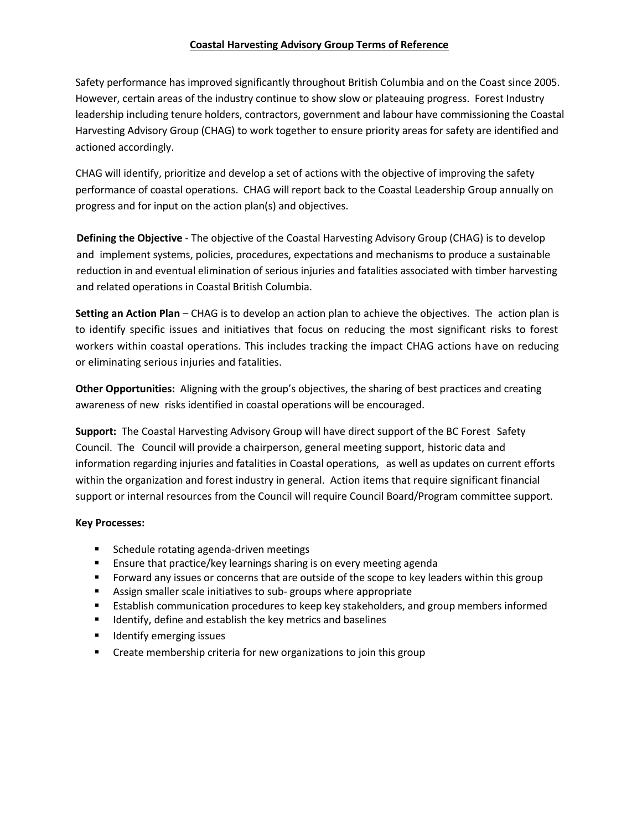#### **Coastal Harvesting Advisory Group Terms of Reference**

Safety performance has improved significantly throughout British Columbia and on the Coast since 2005. However, certain areas of the industry continue to show slow or plateauing progress. Forest Industry leadership including tenure holders, contractors, government and labour have commissioning the Coastal Harvesting Advisory Group (CHAG) to work together to ensure priority areas for safety are identified and actioned accordingly.

CHAG will identify, prioritize and develop a set of actions with the objective of improving the safety performance of coastal operations. CHAG will report back to the Coastal Leadership Group annually on progress and for input on the action plan(s) and objectives.

**Defining the Objective** - The objective of the Coastal Harvesting Advisory Group (CHAG) is to develop and implement systems, policies, procedures, expectations and mechanisms to produce a sustainable reduction in and eventual elimination of serious injuries and fatalities associated with timber harvesting and related operations in Coastal British Columbia.

**Setting an Action Plan** – CHAG is to develop an action plan to achieve the objectives. The action plan is to identify specific issues and initiatives that focus on reducing the most significant risks to forest workers within coastal operations. This includes tracking the impact CHAG actions have on reducing or eliminating serious injuries and fatalities.

**Other Opportunities:** Aligning with the group's objectives, the sharing of best practices and creating awareness of new risks identified in coastal operations will be encouraged.

**Support:** The Coastal Harvesting Advisory Group will have direct support of the BC Forest Safety Council. The Council will provide a chairperson, general meeting support, historic data and information regarding injuries and fatalities in Coastal operations, as well as updates on current efforts within the organization and forest industry in general. Action items that require significant financial support or internal resources from the Council will require Council Board/Program committee support.

#### **Key Processes:**

- Schedule rotating agenda-driven meetings
- Ensure that practice/key learnings sharing is on every meeting agenda
- **Forward any issues or concerns that are outside of the scope to key leaders within this group**
- Assign smaller scale initiatives to sub- groups where appropriate
- Establish communication procedures to keep key stakeholders, and group members informed
- Identify, define and establish the key metrics and baselines
- Identify emerging issues
- Create membership criteria for new organizations to join this group